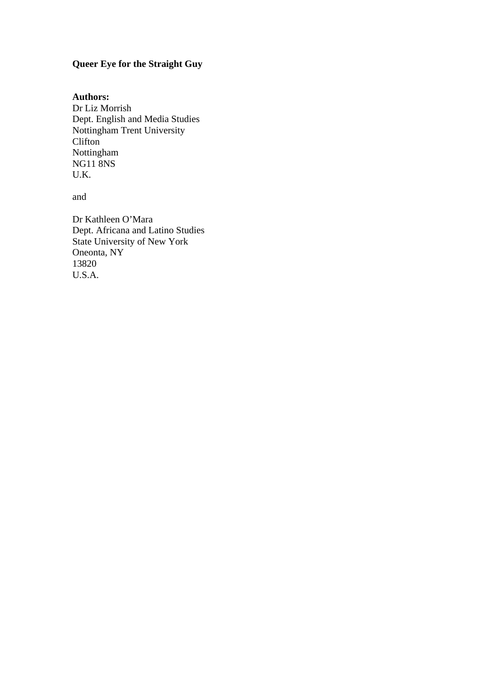# **Queer Eye for the Straight Guy**

## **Authors:**

Dr Liz Morrish Dept. English and Media Studies Nottingham Trent University Clifton Nottingham NG11 8NS U.K.

and

Dr Kathleen O'Mara Dept. Africana and Latino Studies State University of New York Oneonta, NY 13820 U.S.A.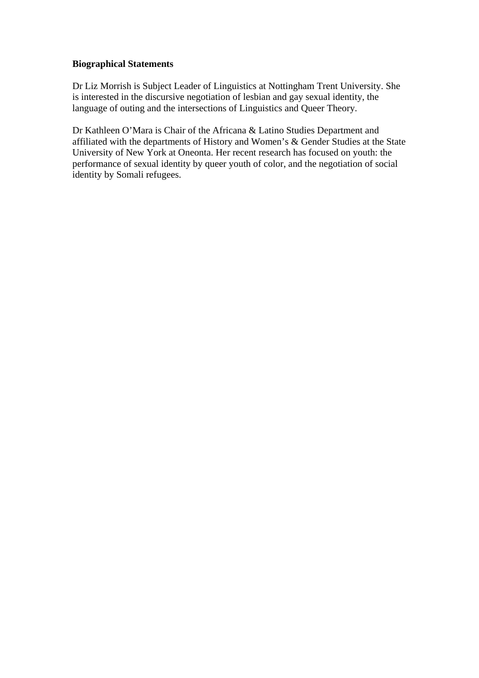## **Biographical Statements**

Dr Liz Morrish is Subject Leader of Linguistics at Nottingham Trent University. She is interested in the discursive negotiation of lesbian and gay sexual identity, the language of outing and the intersections of Linguistics and Queer Theory.

Dr Kathleen O'Mara is Chair of the Africana & Latino Studies Department and affiliated with the departments of History and Women's & Gender Studies at the State University of New York at Oneonta. Her recent research has focused on youth: the performance of sexual identity by queer youth of color, and the negotiation of social identity by Somali refugees.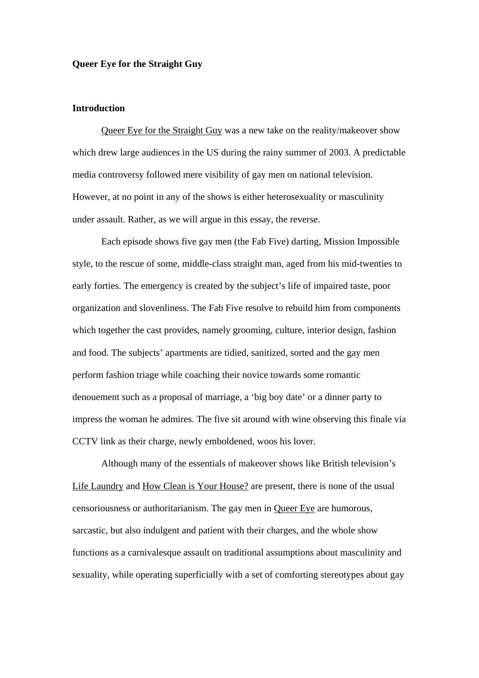### **Queer Eye for the Straight Guy**

### **Introduction**

Queer Eye for the Straight Guy was a new take on the reality/makeover show which drew large audiences in the US during the rainy summer of 2003. A predictable media controversy followed mere visibility of gay men on national television. However, at no point in any of the shows is either heterosexuality or masculinity under assault. Rather, as we will argue in this essay, the reverse.

Each episode shows five gay men (the Fab Five) darting, Mission Impossible style, to the rescue of some, middle-class straight man, aged from his mid-twenties to early forties. The emergency is created by the subject's life of impaired taste, poor organization and slovenliness. The Fab Five resolve to rebuild him from components which together the cast provides, namely grooming, culture, interior design, fashion and food. The subjects' apartments are tidied, sanitized, sorted and the gay men perform fashion triage while coaching their novice towards some romantic denouement such as a proposal of marriage, a 'big boy date' or a dinner party to impress the woman he admires. The five sit around with wine observing this finale via CCTV link as their charge, newly emboldened, woos his lover.

Although many of the essentials of makeover shows like British television's Life Laundry and How Clean is Your House? are present, there is none of the usual censoriousness or authoritarianism. The gay men in Queer Eye are humorous, sarcastic, but also indulgent and patient with their charges, and the whole show functions as a carnivalesque assault on traditional assumptions about masculinity and sexuality, while operating superficially with a set of comforting stereotypes about gay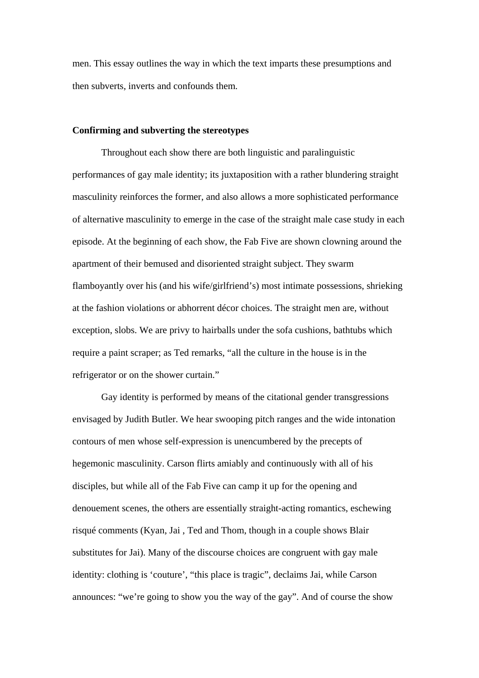men. This essay outlines the way in which the text imparts these presumptions and then subverts, inverts and confounds them.

#### **Confirming and subverting the stereotypes**

Throughout each show there are both linguistic and paralinguistic performances of gay male identity; its juxtaposition with a rather blundering straight masculinity reinforces the former, and also allows a more sophisticated performance of alternative masculinity to emerge in the case of the straight male case study in each episode. At the beginning of each show, the Fab Five are shown clowning around the apartment of their bemused and disoriented straight subject. They swarm flamboyantly over his (and his wife/girlfriend's) most intimate possessions, shrieking at the fashion violations or abhorrent décor choices. The straight men are, without exception, slobs. We are privy to hairballs under the sofa cushions, bathtubs which require a paint scraper; as Ted remarks, "all the culture in the house is in the refrigerator or on the shower curtain."

Gay identity is performed by means of the citational gender transgressions envisaged by Judith Butler. We hear swooping pitch ranges and the wide intonation contours of men whose self-expression is unencumbered by the precepts of hegemonic masculinity. Carson flirts amiably and continuously with all of his disciples, but while all of the Fab Five can camp it up for the opening and denouement scenes, the others are essentially straight-acting romantics, eschewing risqué comments (Kyan, Jai , Ted and Thom, though in a couple shows Blair substitutes for Jai). Many of the discourse choices are congruent with gay male identity: clothing is 'couture', "this place is tragic", declaims Jai, while Carson announces: "we're going to show you the way of the gay". And of course the show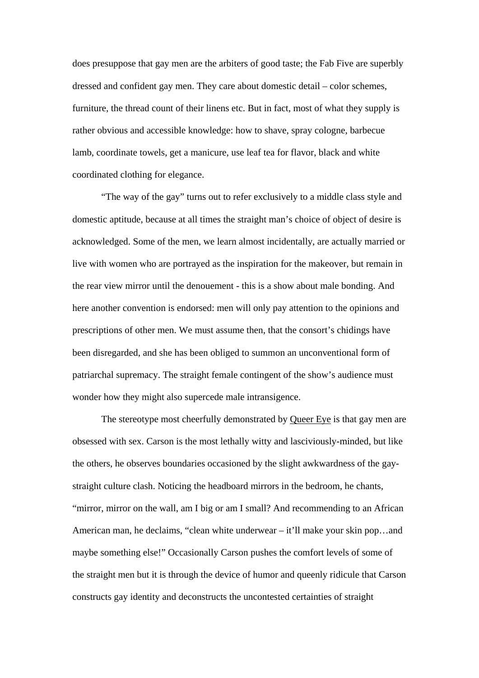does presuppose that gay men are the arbiters of good taste; the Fab Five are superbly dressed and confident gay men. They care about domestic detail – color schemes, furniture, the thread count of their linens etc. But in fact, most of what they supply is rather obvious and accessible knowledge: how to shave, spray cologne, barbecue lamb, coordinate towels, get a manicure, use leaf tea for flavor, black and white coordinated clothing for elegance.

"The way of the gay" turns out to refer exclusively to a middle class style and domestic aptitude, because at all times the straight man's choice of object of desire is acknowledged. Some of the men, we learn almost incidentally, are actually married or live with women who are portrayed as the inspiration for the makeover, but remain in the rear view mirror until the denouement - this is a show about male bonding. And here another convention is endorsed: men will only pay attention to the opinions and prescriptions of other men. We must assume then, that the consort's chidings have been disregarded, and she has been obliged to summon an unconventional form of patriarchal supremacy. The straight female contingent of the show's audience must wonder how they might also supercede male intransigence.

The stereotype most cheerfully demonstrated by Queer Eye is that gay men are obsessed with sex. Carson is the most lethally witty and lasciviously-minded, but like the others, he observes boundaries occasioned by the slight awkwardness of the gaystraight culture clash. Noticing the headboard mirrors in the bedroom, he chants, "mirror, mirror on the wall, am I big or am I small? And recommending to an African American man, he declaims, "clean white underwear – it'll make your skin pop…and maybe something else!" Occasionally Carson pushes the comfort levels of some of the straight men but it is through the device of humor and queenly ridicule that Carson constructs gay identity and deconstructs the uncontested certainties of straight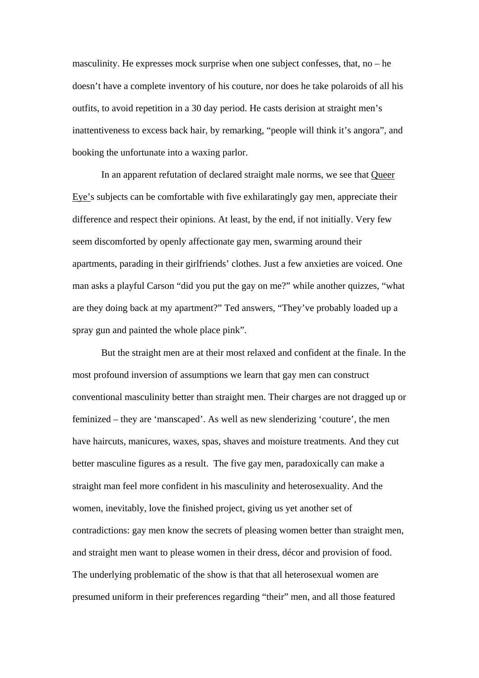masculinity. He expresses mock surprise when one subject confesses, that, no – he doesn't have a complete inventory of his couture, nor does he take polaroids of all his outfits, to avoid repetition in a 30 day period. He casts derision at straight men's inattentiveness to excess back hair, by remarking, "people will think it's angora", and booking the unfortunate into a waxing parlor.

In an apparent refutation of declared straight male norms, we see that Queer Eye's subjects can be comfortable with five exhilaratingly gay men, appreciate their difference and respect their opinions. At least, by the end, if not initially. Very few seem discomforted by openly affectionate gay men, swarming around their apartments, parading in their girlfriends' clothes. Just a few anxieties are voiced. One man asks a playful Carson "did you put the gay on me?" while another quizzes, "what are they doing back at my apartment?" Ted answers, "They've probably loaded up a spray gun and painted the whole place pink".

But the straight men are at their most relaxed and confident at the finale. In the most profound inversion of assumptions we learn that gay men can construct conventional masculinity better than straight men. Their charges are not dragged up or feminized – they are 'manscaped'. As well as new slenderizing 'couture', the men have haircuts, manicures, waxes, spas, shaves and moisture treatments. And they cut better masculine figures as a result. The five gay men, paradoxically can make a straight man feel more confident in his masculinity and heterosexuality. And the women, inevitably, love the finished project, giving us yet another set of contradictions: gay men know the secrets of pleasing women better than straight men, and straight men want to please women in their dress, décor and provision of food. The underlying problematic of the show is that that all heterosexual women are presumed uniform in their preferences regarding "their" men, and all those featured